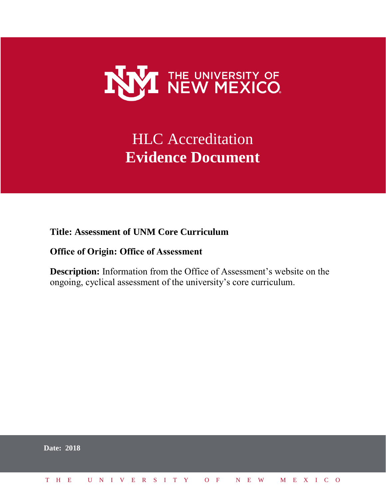

# **HLC** Accreditation **Evidence Document**

**Title: Assessment of UNM Core Curriculum** 

#### **Office of Origin: Office of Assessment**

**Description:** Information from the Office of Assessment's website on the ongoing, cyclical assessment of the university's core curriculum.

|  | <b>Date: 2018</b>            |  |  |  |  |  |  |  |  |  |  |  |  |  |
|--|------------------------------|--|--|--|--|--|--|--|--|--|--|--|--|--|
|  | THE UNIVERSITY OF NEW MEXICO |  |  |  |  |  |  |  |  |  |  |  |  |  |